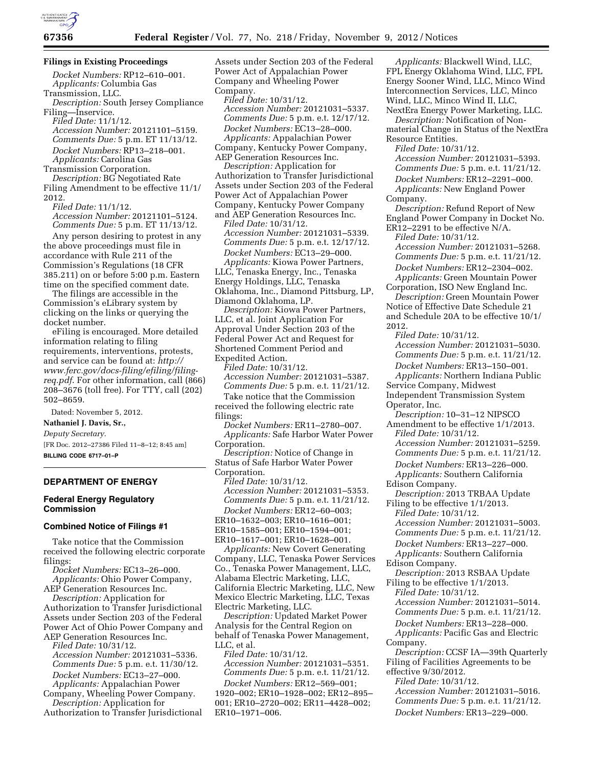#### **Filings in Existing Proceedings**

*Docket Numbers:* RP12–610–001. *Applicants:* Columbia Gas Transmission, LLC.

*Description:* South Jersey Compliance Filing—Inservice.

*Filed Date:* 11/1/12. *Accession Number:* 20121101–5159. *Comments Due:* 5 p.m. ET 11/13/12. *Docket Numbers:* RP13–218–001. *Applicants:* Carolina Gas

Transmission Corporation.

*Description:* BG Negotiated Rate Filing Amendment to be effective 11/1/ 2012.

*Filed Date:* 11/1/12.

*Accession Number:* 20121101–5124. *Comments Due:* 5 p.m. ET 11/13/12. Any person desiring to protest in any the above proceedings must file in accordance with Rule 211 of the Commission's Regulations (18 CFR 385.211) on or before 5:00 p.m. Eastern

time on the specified comment date. The filings are accessible in the Commission's eLibrary system by clicking on the links or querying the docket number.

eFiling is encouraged. More detailed information relating to filing requirements, interventions, protests, and service can be found at: *[http://](http://www.ferc.gov/docs-filing/efiling/filing-req.pdf) [www.ferc.gov/docs-filing/efiling/filing](http://www.ferc.gov/docs-filing/efiling/filing-req.pdf)[req.pdf](http://www.ferc.gov/docs-filing/efiling/filing-req.pdf)*. For other information, call (866) 208–3676 (toll free). For TTY, call (202) 502–8659.

Dated: November 5, 2012.

**Nathaniel J. Davis, Sr.,** 

*Deputy Secretary.* 

[FR Doc. 2012–27386 Filed 11–8–12; 8:45 am] **BILLING CODE 6717–01–P** 

## **DEPARTMENT OF ENERGY**

### **Federal Energy Regulatory Commission**

#### **Combined Notice of Filings #1**

Take notice that the Commission received the following electric corporate filings:

*Docket Numbers:* EC13–26–000. *Applicants:* Ohio Power Company, AEP Generation Resources Inc.

*Description:* Application for Authorization to Transfer Jurisdictional Assets under Section 203 of the Federal Power Act of Ohio Power Company and AEP Generation Resources Inc.

*Filed Date:* 10/31/12. *Accession Number:* 20121031–5336. *Comments Due:* 5 p.m. e.t. 11/30/12. *Docket Numbers:* EC13–27–000.

*Applicants:* Appalachian Power Company, Wheeling Power Company. *Description:* Application for

Authorization to Transfer Jurisdictional

Assets under Section 203 of the Federal Power Act of Appalachian Power Company and Wheeling Power Company. *Filed Date:* 10/31/12. *Accession Number:* 20121031–5337. *Comments Due:* 5 p.m. e.t. 12/17/12. *Docket Numbers:* EC13–28–000. *Applicants:* Appalachian Power Company, Kentucky Power Company, AEP Generation Resources Inc. *Description:* Application for

Authorization to Transfer Jurisdictional Assets under Section 203 of the Federal Power Act of Appalachian Power Company, Kentucky Power Company and AEP Generation Resources Inc.

*Filed Date:* 10/31/12. *Accession Number:* 20121031–5339. *Comments Due:* 5 p.m. e.t. 12/17/12. *Docket Numbers:* EC13–29–000.

*Applicants:* Kiowa Power Partners, LLC, Tenaska Energy, Inc., Tenaska Energy Holdings, LLC, Tenaska Oklahoma, Inc., Diamond Pittsburg, LP, Diamond Oklahoma, LP.

*Description:* Kiowa Power Partners, LLC, et al. Joint Application For Approval Under Section 203 of the Federal Power Act and Request for Shortened Comment Period and Expedited Action.

*Filed Date:* 10/31/12. *Accession Number:* 20121031–5387. *Comments Due:* 5 p.m. e.t. 11/21/12. Take notice that the Commission

received the following electric rate filings: *Docket Numbers:* ER11–2780–007.

*Applicants:* Safe Harbor Water Power Corporation.

*Description:* Notice of Change in Status of Safe Harbor Water Power Corporation.

*Filed Date:* 10/31/12. *Accession Number:* 20121031–5353. *Comments Due:* 5 p.m. e.t. 11/21/12.

*Docket Numbers:* ER12–60–003; ER10–1632–003; ER10–1616–001; ER10–1585–001; ER10–1594–001; ER10–1617–001; ER10–1628–001.

*Applicants:* New Covert Generating Company, LLC, Tenaska Power Services Co., Tenaska Power Management, LLC, Alabama Electric Marketing, LLC, California Electric Marketing, LLC, New Mexico Electric Marketing, LLC, Texas Electric Marketing, LLC.

*Description:* Updated Market Power Analysis for the Central Region on behalf of Tenaska Power Management, LLC, et al.

*Filed Date:* 10/31/12. *Accession Number:* 20121031–5351. *Comments Due:* 5 p.m. e.t. 11/21/12. *Docket Numbers:* ER12–569–001; 1920–002; ER10–1928–002; ER12–895– 001; ER10–2720–002; ER11–4428–002; ER10–1971–006.

*Applicants:* Blackwell Wind, LLC, FPL Energy Oklahoma Wind, LLC, FPL Energy Sooner Wind, LLC, Minco Wind Interconnection Services, LLC, Minco Wind, LLC, Minco Wind II, LLC, NextEra Energy Power Marketing, LLC.

*Description:* Notification of Nonmaterial Change in Status of the NextEra Resource Entities.

*Filed Date:* 10/31/12.

*Accession Number:* 20121031–5393. *Comments Due:* 5 p.m. e.t. 11/21/12. *Docket Numbers:* ER12–2291–000. *Applicants:* New England Power Company. *Description:* Refund Report of New England Power Company in Docket No. ER12–2291 to be effective N/A. *Filed Date:* 10/31/12. *Accession Number:* 20121031–5268. *Comments Due:* 5 p.m. e.t. 11/21/12.

*Docket Numbers:* ER12–2304–002. *Applicants:* Green Mountain Power Corporation, ISO New England Inc.

*Description:* Green Mountain Power Notice of Effective Date Schedule 21 and Schedule 20A to be effective 10/1/ 2012.

*Filed Date:* 10/31/12. *Accession Number:* 20121031–5030. *Comments Due:* 5 p.m. e.t. 11/21/12. *Docket Numbers:* ER13–150–001. *Applicants:* Northern Indiana Public Service Company, Midwest Independent Transmission System

Operator, Inc.

*Description:* 10–31–12 NIPSCO Amendment to be effective 1/1/2013. *Filed Date:* 10/31/12. *Accession Number:* 20121031–5259.

*Comments Due:* 5 p.m. e.t. 11/21/12. *Docket Numbers:* ER13–226–000. *Applicants:* Southern California

Edison Company.

*Description:* 2013 TRBAA Update Filing to be effective 1/1/2013. *Filed Date:* 10/31/12. *Accession Number:* 20121031–5003. *Comments Due:* 5 p.m. e.t. 11/21/12. *Docket Numbers:* ER13–227–000. *Applicants:* Southern California Edison Company.

*Description:* 2013 RSBAA Update Filing to be effective 1/1/2013. *Filed Date:* 10/31/12. *Accession Number:* 20121031–5014. *Comments Due:* 5 p.m. e.t. 11/21/12.

*Docket Numbers:* ER13–228–000. *Applicants:* Pacific Gas and Electric

Company.

*Description:* CCSF IA—39th Quarterly Filing of Facilities Agreements to be effective 9/30/2012.

*Filed Date:* 10/31/12.

*Accession Number:* 20121031–5016. *Comments Due:* 5 p.m. e.t. 11/21/12.

*Docket Numbers:* ER13–229–000.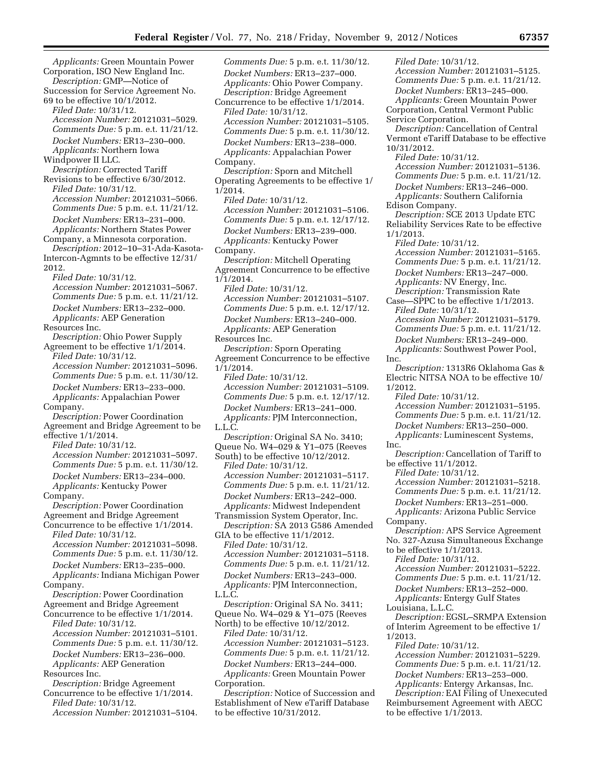*Applicants:* Green Mountain Power Corporation, ISO New England Inc. *Description:* GMP—Notice of Succession for Service Agreement No. 69 to be effective 10/1/2012. *Filed Date:* 10/31/12. *Accession Number:* 20121031–5029. *Comments Due:* 5 p.m. e.t. 11/21/12. *Docket Numbers:* ER13–230–000. *Applicants:* Northern Iowa Windpower II LLC. *Description:* Corrected Tariff Revisions to be effective 6/30/2012. *Filed Date:* 10/31/12. *Accession Number:* 20121031–5066. *Comments Due:* 5 p.m. e.t. 11/21/12. *Docket Numbers:* ER13–231–000. *Applicants:* Northern States Power Company, a Minnesota corporation. *Description:* 2012–10–31-Ada-Kasota-Intercon-Agmnts to be effective 12/31/ 2012. *Filed Date:* 10/31/12. *Accession Number:* 20121031–5067. *Comments Due:* 5 p.m. e.t. 11/21/12. *Docket Numbers:* ER13–232–000. *Applicants:* AEP Generation Resources Inc. *Description:* Ohio Power Supply Agreement to be effective 1/1/2014. *Filed Date:* 10/31/12. *Accession Number:* 20121031–5096. *Comments Due:* 5 p.m. e.t. 11/30/12. *Docket Numbers:* ER13–233–000. *Applicants:* Appalachian Power Company. *Description:* Power Coordination Agreement and Bridge Agreement to be effective 1/1/2014. *Filed Date:* 10/31/12. *Accession Number:* 20121031–5097. *Comments Due:* 5 p.m. e.t. 11/30/12. *Docket Numbers:* ER13–234–000. *Applicants:* Kentucky Power Company. *Description:* Power Coordination Agreement and Bridge Agreement Concurrence to be effective 1/1/2014. *Filed Date:* 10/31/12. *Accession Number:* 20121031–5098. *Comments Due:* 5 p.m. e.t. 11/30/12. *Docket Numbers:* ER13–235–000. *Applicants:* Indiana Michigan Power Company. *Description:* Power Coordination Agreement and Bridge Agreement Concurrence to be effective 1/1/2014. *Filed Date:* 10/31/12. *Accession Number:* 20121031–5101. *Comments Due:* 5 p.m. e.t. 11/30/12. *Docket Numbers:* ER13–236–000. *Applicants:* AEP Generation Resources Inc. *Description:* Bridge Agreement Concurrence to be effective 1/1/2014. *Filed Date:* 10/31/12.

*Accession Number:* 20121031–5104.

*Comments Due:* 5 p.m. e.t. 11/30/12. *Docket Numbers:* ER13–237–000. *Applicants:* Ohio Power Company. *Description:* Bridge Agreement Concurrence to be effective 1/1/2014. *Filed Date:* 10/31/12. *Accession Number:* 20121031–5105. *Comments Due:* 5 p.m. e.t. 11/30/12. *Docket Numbers:* ER13–238–000. *Applicants:* Appalachian Power Company. *Description:* Sporn and Mitchell Operating Agreements to be effective 1/ 1/2014. *Filed Date:* 10/31/12. *Accession Number:* 20121031–5106. *Comments Due:* 5 p.m. e.t. 12/17/12. *Docket Numbers:* ER13–239–000. *Applicants:* Kentucky Power Company. *Description:* Mitchell Operating Agreement Concurrence to be effective 1/1/2014. *Filed Date:* 10/31/12. *Accession Number:* 20121031–5107. *Comments Due:* 5 p.m. e.t. 12/17/12. *Docket Numbers:* ER13–240–000. *Applicants:* AEP Generation Resources Inc. *Description:* Sporn Operating Agreement Concurrence to be effective 1/1/2014. *Filed Date:* 10/31/12. *Accession Number:* 20121031–5109. *Comments Due:* 5 p.m. e.t. 12/17/12. *Docket Numbers:* ER13–241–000. *Applicants:* PJM Interconnection, L.L.C. *Description:* Original SA No. 3410; Queue No. W4–029 & Y1–075 (Reeves South) to be effective 10/12/2012. *Filed Date:* 10/31/12. *Accession Number:* 20121031–5117. *Comments Due:* 5 p.m. e.t. 11/21/12. *Docket Numbers:* ER13–242–000. *Applicants:* Midwest Independent Transmission System Operator, Inc. *Description:* SA 2013 G586 Amended GIA to be effective 11/1/2012. *Filed Date:* 10/31/12. *Accession Number:* 20121031–5118. *Comments Due:* 5 p.m. e.t. 11/21/12. *Docket Numbers:* ER13–243–000. *Applicants:* PJM Interconnection, L.L.C. *Description:* Original SA No. 3411; Queue No. W4–029 & Y1–075 (Reeves North) to be effective 10/12/2012. *Filed Date:* 10/31/12. *Accession Number:* 20121031–5123. *Comments Due:* 5 p.m. e.t. 11/21/12. *Docket Numbers:* ER13–244–000. *Applicants:* Green Mountain Power Corporation.

*Description:* Notice of Succession and Establishment of New eTariff Database to be effective 10/31/2012.

*Filed Date:* 10/31/12. *Accession Number:* 20121031–5125. *Comments Due:* 5 p.m. e.t. 11/21/12. *Docket Numbers:* ER13–245–000. *Applicants:* Green Mountain Power Corporation, Central Vermont Public Service Corporation. *Description:* Cancellation of Central Vermont eTariff Database to be effective 10/31/2012. *Filed Date:* 10/31/12. *Accession Number:* 20121031–5136. *Comments Due:* 5 p.m. e.t. 11/21/12. *Docket Numbers:* ER13–246–000. *Applicants:* Southern California Edison Company. *Description:* SCE 2013 Update ETC Reliability Services Rate to be effective 1/1/2013. *Filed Date:* 10/31/12. *Accession Number:* 20121031–5165. *Comments Due:* 5 p.m. e.t. 11/21/12. *Docket Numbers:* ER13–247–000. *Applicants:* NV Energy, Inc. *Description:* Transmission Rate Case—SPPC to be effective 1/1/2013. *Filed Date:* 10/31/12. *Accession Number:* 20121031–5179. *Comments Due:* 5 p.m. e.t. 11/21/12. *Docket Numbers:* ER13–249–000. *Applicants:* Southwest Power Pool, Inc. *Description:* 1313R6 Oklahoma Gas & Electric NITSA NOA to be effective 10/ 1/2012. *Filed Date:* 10/31/12. *Accession Number:* 20121031–5195. *Comments Due:* 5 p.m. e.t. 11/21/12. *Docket Numbers:* ER13–250–000. *Applicants:* Luminescent Systems, Inc. *Description:* Cancellation of Tariff to be effective 11/1/2012. *Filed Date:* 10/31/12. *Accession Number:* 20121031–5218. *Comments Due:* 5 p.m. e.t. 11/21/12. *Docket Numbers:* ER13–251–000. *Applicants:* Arizona Public Service Company. *Description:* APS Service Agreement No. 327-Azusa Simultaneous Exchange to be effective 1/1/2013. *Filed Date:* 10/31/12. *Accession Number:* 20121031–5222. *Comments Due:* 5 p.m. e.t. 11/21/12. *Docket Numbers:* ER13–252–000. *Applicants:* Entergy Gulf States Louisiana, L.L.C. *Description:* EGSL–SRMPA Extension of Interim Agreement to be effective 1/ 1/2013. *Filed Date:* 10/31/12. *Accession Number:* 20121031–5229. *Comments Due:* 5 p.m. e.t. 11/21/12. *Docket Numbers:* ER13–253–000. *Applicants:* Entergy Arkansas, Inc.

*Description:* EAI Filing of Unexecuted Reimbursement Agreement with AECC to be effective 1/1/2013.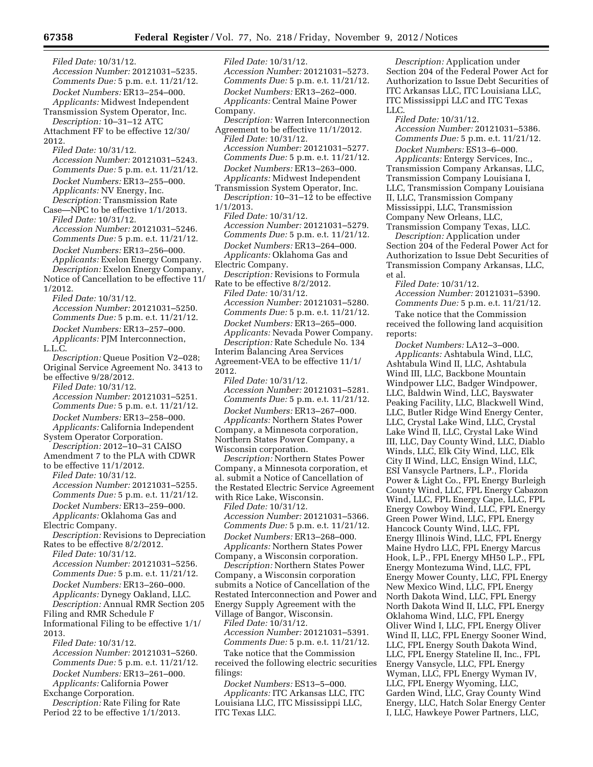*Filed Date:* 10/31/12. *Accession Number:* 20121031–5235. *Comments Due:* 5 p.m. e.t. 11/21/12. *Docket Numbers:* ER13–254–000. *Applicants:* Midwest Independent Transmission System Operator, Inc. *Description:* 10–31–12 ATC Attachment FF to be effective 12/30/ 2012. *Filed Date:* 10/31/12. *Accession Number:* 20121031–5243. *Comments Due:* 5 p.m. e.t. 11/21/12. *Docket Numbers:* ER13–255–000. *Applicants:* NV Energy, Inc. *Description:* Transmission Rate Case—NPC to be effective 1/1/2013. *Filed Date:* 10/31/12. *Accession Number:* 20121031–5246. *Comments Due:* 5 p.m. e.t. 11/21/12. *Docket Numbers:* ER13–256–000. *Applicants:* Exelon Energy Company. *Description:* Exelon Energy Company, Notice of Cancellation to be effective 11/ 1/2012. *Filed Date:* 10/31/12. *Accession Number:* 20121031–5250. *Comments Due:* 5 p.m. e.t. 11/21/12. *Docket Numbers:* ER13–257–000. *Applicants:* PJM Interconnection, L.L.C. *Description:* Queue Position V2–028; Original Service Agreement No. 3413 to be effective 9/28/2012. *Filed Date:* 10/31/12. *Accession Number:* 20121031–5251. *Comments Due:* 5 p.m. e.t. 11/21/12. *Docket Numbers:* ER13–258–000. *Applicants:* California Independent System Operator Corporation. *Description:* 2012–10–31 CAISO Amendment 7 to the PLA with CDWR to be effective 11/1/2012. *Filed Date:* 10/31/12. *Accession Number:* 20121031–5255. *Comments Due:* 5 p.m. e.t. 11/21/12. *Docket Numbers:* ER13–259–000. *Applicants:* Oklahoma Gas and Electric Company. *Description:* Revisions to Depreciation Rates to be effective 8/2/2012. *Filed Date:* 10/31/12. *Accession Number:* 20121031–5256. *Comments Due:* 5 p.m. e.t. 11/21/12. *Docket Numbers:* ER13–260–000. *Applicants:* Dynegy Oakland, LLC. *Description:* Annual RMR Section 205 Filing and RMR Schedule F Informational Filing to be effective 1/1/ 2013. *Filed Date:* 10/31/12. *Accession Number:* 20121031–5260. *Comments Due:* 5 p.m. e.t. 11/21/12. *Docket Numbers:* ER13–261–000. *Applicants:* California Power Exchange Corporation.

*Description:* Rate Filing for Rate Period 22 to be effective 1/1/2013.

*Filed Date:* 10/31/12. *Accession Number:* 20121031–5273. *Comments Due:* 5 p.m. e.t. 11/21/12. *Docket Numbers:* ER13–262–000. *Applicants:* Central Maine Power Company. *Description:* Warren Interconnection Agreement to be effective 11/1/2012. *Filed Date:* 10/31/12. *Accession Number:* 20121031–5277. *Comments Due:* 5 p.m. e.t. 11/21/12. *Docket Numbers:* ER13–263–000. *Applicants:* Midwest Independent Transmission System Operator, Inc. *Description:* 10–31–12 to be effective 1/1/2013. *Filed Date:* 10/31/12. *Accession Number:* 20121031–5279. *Comments Due:* 5 p.m. e.t. 11/21/12. *Docket Numbers:* ER13–264–000. *Applicants:* Oklahoma Gas and Electric Company. *Description:* Revisions to Formula Rate to be effective 8/2/2012. *Filed Date:* 10/31/12. *Accession Number:* 20121031–5280. *Comments Due:* 5 p.m. e.t. 11/21/12. *Docket Numbers:* ER13–265–000. *Applicants:* Nevada Power Company. *Description:* Rate Schedule No. 134 Interim Balancing Area Services Agreement-VEA to be effective 11/1/ 2012. *Filed Date:* 10/31/12. *Accession Number:* 20121031–5281. *Comments Due:* 5 p.m. e.t. 11/21/12. *Docket Numbers:* ER13–267–000. *Applicants:* Northern States Power Company, a Minnesota corporation, Northern States Power Company, a Wisconsin corporation. *Description:* Northern States Power Company, a Minnesota corporation, et al. submit a Notice of Cancellation of the Restated Electric Service Agreement with Rice Lake, Wisconsin. *Filed Date:* 10/31/12. *Accession Number:* 20121031–5366. *Comments Due:* 5 p.m. e.t. 11/21/12. *Docket Numbers:* ER13–268–000. *Applicants:* Northern States Power Company, a Wisconsin corporation. *Description:* Northern States Power Company, a Wisconsin corporation submits a Notice of Cancellation of the Restated Interconnection and Power and Energy Supply Agreement with the Village of Bangor, Wisconsin. *Filed Date:* 10/31/12. *Accession Number:* 20121031–5391.

*Comments Due:* 5 p.m. e.t. 11/21/12. Take notice that the Commission

received the following electric securities filings:

*Docket Numbers:* ES13–5–000. *Applicants:* ITC Arkansas LLC, ITC Louisiana LLC, ITC Mississippi LLC, ITC Texas LLC.

*Description:* Application under Section 204 of the Federal Power Act for Authorization to Issue Debt Securities of ITC Arkansas LLC, ITC Louisiana LLC, ITC Mississippi LLC and ITC Texas LLC.

*Filed Date:* 10/31/12. *Accession Number:* 20121031–5386. *Comments Due:* 5 p.m. e.t. 11/21/12.

*Docket Numbers:* ES13–6–000. *Applicants:* Entergy Services, Inc., Transmission Company Arkansas, LLC, Transmission Company Louisiana I, LLC, Transmission Company Louisiana II, LLC, Transmission Company Mississippi, LLC, Transmission Company New Orleans, LLC,

Transmission Company Texas, LLC. *Description:* Application under Section 204 of the Federal Power Act for Authorization to Issue Debt Securities of Transmission Company Arkansas, LLC, et al.

*Filed Date:* 10/31/12. *Accession Number:* 20121031–5390. *Comments Due:* 5 p.m. e.t. 11/21/12. Take notice that the Commission received the following land acquisition reports:

*Docket Numbers:* LA12–3–000. *Applicants:* Ashtabula Wind, LLC, Ashtabula Wind II, LLC, Ashtabula Wind III, LLC, Backbone Mountain Windpower LLC, Badger Windpower, LLC, Baldwin Wind, LLC, Bayswater Peaking Facility, LLC, Blackwell Wind, LLC, Butler Ridge Wind Energy Center, LLC, Crystal Lake Wind, LLC, Crystal Lake Wind II, LLC, Crystal Lake Wind III, LLC, Day County Wind, LLC, Diablo Winds, LLC, Elk City Wind, LLC, Elk City II Wind, LLC, Ensign Wind, LLC, ESI Vansycle Partners, L.P., Florida Power & Light Co., FPL Energy Burleigh County Wind, LLC, FPL Energy Cabazon Wind, LLC, FPL Energy Cape, LLC, FPL Energy Cowboy Wind, LLC, FPL Energy Green Power Wind, LLC, FPL Energy Hancock County Wind, LLC, FPL Energy Illinois Wind, LLC, FPL Energy Maine Hydro LLC, FPL Energy Marcus Hook, L.P., FPL Energy MH50 L.P., FPL Energy Montezuma Wind, LLC, FPL Energy Mower County, LLC, FPL Energy New Mexico Wind, LLC, FPL Energy North Dakota Wind, LLC, FPL Energy North Dakota Wind II, LLC, FPL Energy Oklahoma Wind, LLC, FPL Energy Oliver Wind I, LLC, FPL Energy Oliver Wind II, LLC, FPL Energy Sooner Wind, LLC, FPL Energy South Dakota Wind, LLC, FPL Energy Stateline II, Inc., FPL Energy Vansycle, LLC, FPL Energy Wyman, LLC, FPL Energy Wyman IV, LLC, FPL Energy Wyoming, LLC, Garden Wind, LLC, Gray County Wind Energy, LLC, Hatch Solar Energy Center I, LLC, Hawkeye Power Partners, LLC,